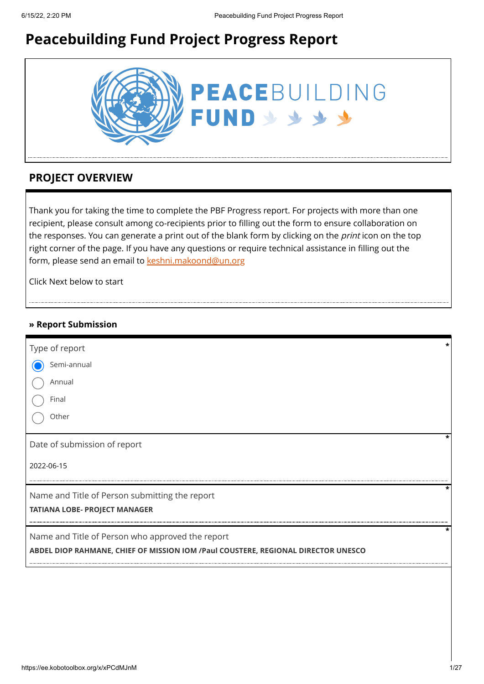# **Peacebuilding Fund Project Progress Report**



# **PROJECT OVERVIEW**

Thank you for taking the time to complete the PBF Progress report. For projects with more than one recipient, please consult among co-recipients prior to filling out the form to ensure collaboration on the responses. You can generate a print out of the blank form by clicking on the *print* icon on the top right corner of the page. If you have any questions or require technical assistance in filling out the form, please send an email to [keshni.makoond@un.org](https://ee.kobotoolbox.org/x/keshni.makoond@un.org)

Click Next below to start

#### **» Report Submission**

| Type of report                                                                    | * |
|-----------------------------------------------------------------------------------|---|
| Semi-annual                                                                       |   |
| Annual                                                                            |   |
| Final                                                                             |   |
| Other                                                                             |   |
| Date of submission of report                                                      |   |
| 2022-06-15                                                                        |   |
| Name and Title of Person submitting the report                                    | * |
| <b>TATIANA LOBE- PROJECT MANAGER</b>                                              |   |
| Name and Title of Person who approved the report                                  |   |
| ABDEL DIOP RAHMANE, CHIEF OF MISSION IOM /Paul COUSTERE, REGIONAL DIRECTOR UNESCO |   |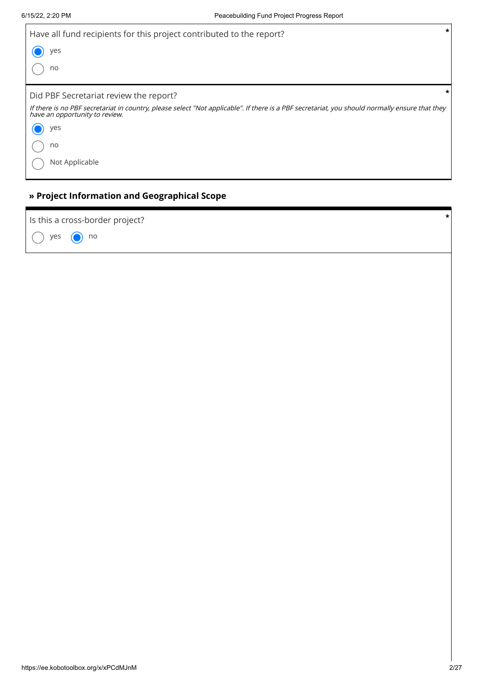$\overline{1}$ 

| $\ast$<br>Have all fund recipients for this project contributed to the report?                                                                                                   |
|----------------------------------------------------------------------------------------------------------------------------------------------------------------------------------|
| yes                                                                                                                                                                              |
| no                                                                                                                                                                               |
| $\ast$<br>Did PBF Secretariat review the report?                                                                                                                                 |
| If there is no PBF secretariat in country, please select "Not applicable". If there is a PBF secretariat, you should normally ensure that they<br>have an opportunity to review. |
| yes                                                                                                                                                                              |
| no                                                                                                                                                                               |
| Not Applicable                                                                                                                                                                   |

## **» Project Information and Geographical Scope**

| Is this a cross-border project? | $\star$ |
|---------------------------------|---------|
| $\bigcap$ yes $\bigcap$ no      |         |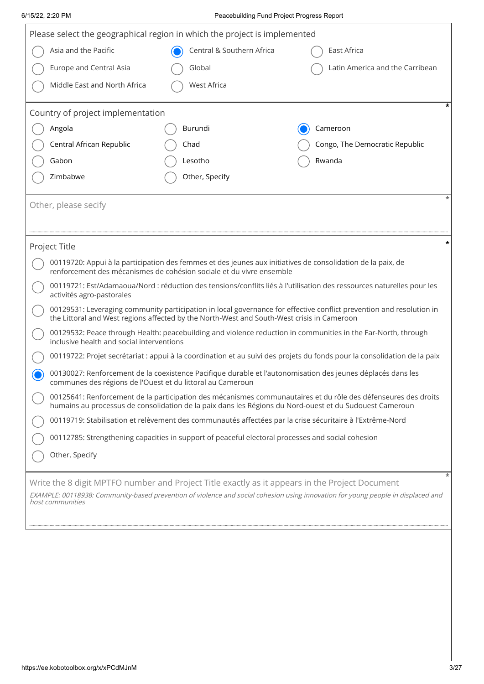| Please select the geographical region in which the project is implemented                                                                            |                                                                                                                                                                                                                           |                                                                                                                                                                                     |                                 |  |  |  |
|------------------------------------------------------------------------------------------------------------------------------------------------------|---------------------------------------------------------------------------------------------------------------------------------------------------------------------------------------------------------------------------|-------------------------------------------------------------------------------------------------------------------------------------------------------------------------------------|---------------------------------|--|--|--|
|                                                                                                                                                      | Asia and the Pacific                                                                                                                                                                                                      | Central & Southern Africa                                                                                                                                                           | East Africa                     |  |  |  |
|                                                                                                                                                      | <b>Europe and Central Asia</b>                                                                                                                                                                                            | Global                                                                                                                                                                              | Latin America and the Carribean |  |  |  |
|                                                                                                                                                      | Middle East and North Africa                                                                                                                                                                                              | <b>West Africa</b>                                                                                                                                                                  |                                 |  |  |  |
|                                                                                                                                                      |                                                                                                                                                                                                                           |                                                                                                                                                                                     |                                 |  |  |  |
|                                                                                                                                                      | Country of project implementation                                                                                                                                                                                         |                                                                                                                                                                                     |                                 |  |  |  |
|                                                                                                                                                      | Angola                                                                                                                                                                                                                    | Burundi                                                                                                                                                                             | Cameroon                        |  |  |  |
|                                                                                                                                                      | Central African Republic                                                                                                                                                                                                  | Chad                                                                                                                                                                                | Congo, The Democratic Republic  |  |  |  |
|                                                                                                                                                      | Gabon                                                                                                                                                                                                                     | Lesotho                                                                                                                                                                             | Rwanda                          |  |  |  |
|                                                                                                                                                      | Zimbabwe                                                                                                                                                                                                                  | Other, Specify                                                                                                                                                                      |                                 |  |  |  |
|                                                                                                                                                      | Other, please secify                                                                                                                                                                                                      |                                                                                                                                                                                     |                                 |  |  |  |
|                                                                                                                                                      |                                                                                                                                                                                                                           |                                                                                                                                                                                     |                                 |  |  |  |
|                                                                                                                                                      |                                                                                                                                                                                                                           |                                                                                                                                                                                     |                                 |  |  |  |
|                                                                                                                                                      | Project Title                                                                                                                                                                                                             |                                                                                                                                                                                     |                                 |  |  |  |
|                                                                                                                                                      |                                                                                                                                                                                                                           | 00119720: Appui à la participation des femmes et des jeunes aux initiatives de consolidation de la paix, de<br>renforcement des mécanismes de cohésion sociale et du vivre ensemble |                                 |  |  |  |
|                                                                                                                                                      | 00119721: Est/Adamaoua/Nord : réduction des tensions/conflits liés à l'utilisation des ressources naturelles pour les<br>activités agro-pastorales                                                                        |                                                                                                                                                                                     |                                 |  |  |  |
|                                                                                                                                                      | 00129531: Leveraging community participation in local governance for effective conflict prevention and resolution in<br>the Littoral and West regions affected by the North-West and South-West crisis in Cameroon        |                                                                                                                                                                                     |                                 |  |  |  |
|                                                                                                                                                      | 00129532: Peace through Health: peacebuilding and violence reduction in communities in the Far-North, through<br>inclusive health and social interventions                                                                |                                                                                                                                                                                     |                                 |  |  |  |
|                                                                                                                                                      | 00119722: Projet secrétariat : appui à la coordination et au suivi des projets du fonds pour la consolidation de la paix                                                                                                  |                                                                                                                                                                                     |                                 |  |  |  |
|                                                                                                                                                      | 00130027: Renforcement de la coexistence Pacifique durable et l'autonomisation des jeunes déplacés dans les<br>communes des régions de l'Ouest et du littoral au Cameroun                                                 |                                                                                                                                                                                     |                                 |  |  |  |
|                                                                                                                                                      | 00125641: Renforcement de la participation des mécanismes communautaires et du rôle des défenseures des droits<br>humains au processus de consolidation de la paix dans les Régions du Nord-ouest et du Sudouest Cameroun |                                                                                                                                                                                     |                                 |  |  |  |
|                                                                                                                                                      |                                                                                                                                                                                                                           | 00119719: Stabilisation et relèvement des communautés affectées par la crise sécuritaire à l'Extrême-Nord                                                                           |                                 |  |  |  |
|                                                                                                                                                      | 00112785: Strengthening capacities in support of peaceful electoral processes and social cohesion                                                                                                                         |                                                                                                                                                                                     |                                 |  |  |  |
|                                                                                                                                                      | Other, Specify                                                                                                                                                                                                            |                                                                                                                                                                                     |                                 |  |  |  |
|                                                                                                                                                      |                                                                                                                                                                                                                           | Write the 8 digit MPTFO number and Project Title exactly as it appears in the Project Document                                                                                      |                                 |  |  |  |
| EXAMPLE: 00118938: Community-based prevention of violence and social cohesion using innovation for young people in displaced and<br>host communities |                                                                                                                                                                                                                           |                                                                                                                                                                                     |                                 |  |  |  |
|                                                                                                                                                      |                                                                                                                                                                                                                           |                                                                                                                                                                                     |                                 |  |  |  |
|                                                                                                                                                      |                                                                                                                                                                                                                           |                                                                                                                                                                                     |                                 |  |  |  |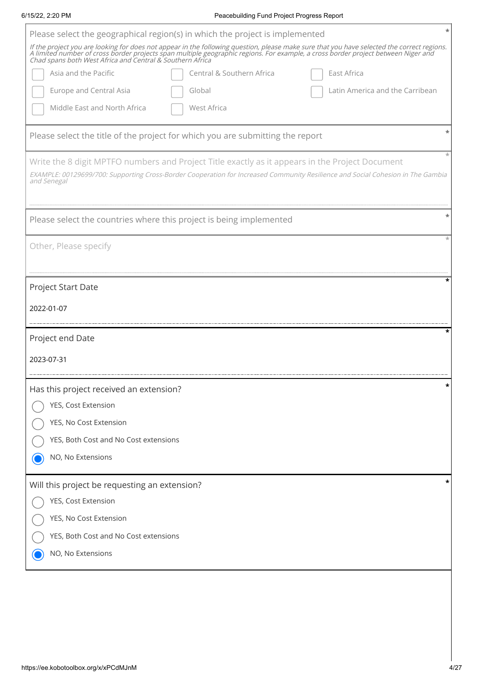| 6/15/22, 2:20 PM                              | Peacebuilding Fund Project Progress Report                                                                                                                                                                                                                                                                                                   |
|-----------------------------------------------|----------------------------------------------------------------------------------------------------------------------------------------------------------------------------------------------------------------------------------------------------------------------------------------------------------------------------------------------|
|                                               | Please select the geographical region(s) in which the project is implemented                                                                                                                                                                                                                                                                 |
|                                               | If the project you are looking for does not appear in the following question, please make sure that you have selected the correct regions.<br>A limited number of cross border projects span multiple geographic regions. For example, a cross border project between Niger and<br>Chad spans both West Africa and Central & Southern Africa |
| Asia and the Pacific                          | Central & Southern Africa<br>East Africa                                                                                                                                                                                                                                                                                                     |
| <b>Europe and Central Asia</b>                | Latin America and the Carribean<br>Global                                                                                                                                                                                                                                                                                                    |
| Middle East and North Africa                  | West Africa                                                                                                                                                                                                                                                                                                                                  |
|                                               | Please select the title of the project for which you are submitting the report                                                                                                                                                                                                                                                               |
| and Senegal                                   | Write the 8 digit MPTFO numbers and Project Title exactly as it appears in the Project Document<br>EXAMPLE: 00129699/700: Supporting Cross-Border Cooperation for Increased Community Resilience and Social Cohesion in The Gambia                                                                                                           |
|                                               | Please select the countries where this project is being implemented                                                                                                                                                                                                                                                                          |
| Other, Please specify                         |                                                                                                                                                                                                                                                                                                                                              |
| Project Start Date                            | ×                                                                                                                                                                                                                                                                                                                                            |
| 2022-01-07                                    |                                                                                                                                                                                                                                                                                                                                              |
| Project end Date                              | ×                                                                                                                                                                                                                                                                                                                                            |
| 2023-07-31                                    |                                                                                                                                                                                                                                                                                                                                              |
| Has this project received an extension?       |                                                                                                                                                                                                                                                                                                                                              |
| YES, Cost Extension                           |                                                                                                                                                                                                                                                                                                                                              |
| YES, No Cost Extension                        |                                                                                                                                                                                                                                                                                                                                              |
| YES, Both Cost and No Cost extensions         |                                                                                                                                                                                                                                                                                                                                              |
| NO, No Extensions                             |                                                                                                                                                                                                                                                                                                                                              |
| Will this project be requesting an extension? | *                                                                                                                                                                                                                                                                                                                                            |
| YES, Cost Extension                           |                                                                                                                                                                                                                                                                                                                                              |
| YES, No Cost Extension                        |                                                                                                                                                                                                                                                                                                                                              |
|                                               |                                                                                                                                                                                                                                                                                                                                              |
| YES, Both Cost and No Cost extensions         |                                                                                                                                                                                                                                                                                                                                              |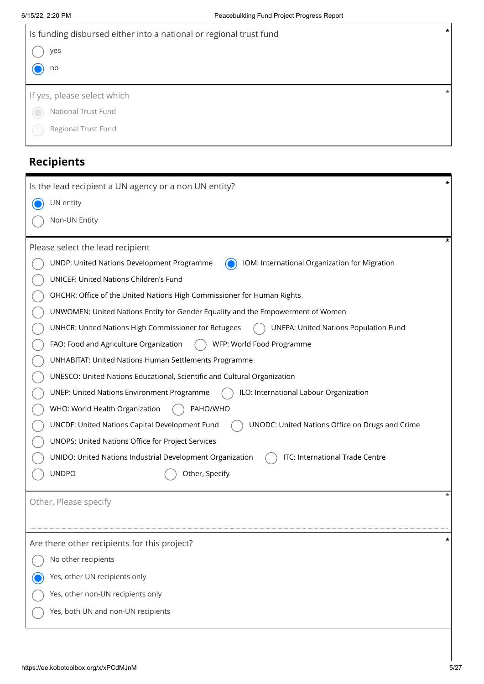| 6/15/22, 2:20 PM                                      | Peacebuilding Fund Project Progress Report                                                   |
|-------------------------------------------------------|----------------------------------------------------------------------------------------------|
|                                                       | Is funding disbursed either into a national or regional trust fund                           |
| yes                                                   |                                                                                              |
| no                                                    |                                                                                              |
| If yes, please select which                           |                                                                                              |
| National Trust Fund                                   |                                                                                              |
| Regional Trust Fund                                   |                                                                                              |
| <b>Recipients</b>                                     |                                                                                              |
| Is the lead recipient a UN agency or a non UN entity? |                                                                                              |
| UN entity                                             |                                                                                              |
| Non-UN Entity                                         |                                                                                              |
| Please select the lead recipient                      |                                                                                              |
| UNDP: United Nations Development Programme            | IOM: International Organization for Migration                                                |
| UNICEF: United Nations Children's Fund                |                                                                                              |
|                                                       | OHCHR: Office of the United Nations High Commissioner for Human Rights                       |
|                                                       | UNWOMEN: United Nations Entity for Gender Equality and the Empowerment of Women              |
| UNHCR: United Nations High Commissioner for Refugees  | UNFPA: United Nations Population Fund                                                        |
| FAO: Food and Agriculture Organization                | WFP: World Food Programme                                                                    |
|                                                       | <b>UNHABITAT: United Nations Human Settlements Programme</b>                                 |
|                                                       | UNESCO: United Nations Educational, Scientific and Cultural Organization                     |
| UNEP: United Nations Environment Programme            | ILO: International Labour Organization                                                       |
| WHO: World Health Organization                        | PAHO/WHO                                                                                     |
| UNCDF: United Nations Capital Development Fund        | UNODC: United Nations Office on Drugs and Crime                                              |
| UNOPS: United Nations Office for Project Services     |                                                                                              |
|                                                       | ITC: International Trade Centre<br>UNIDO: United Nations Industrial Development Organization |
| <b>UNDPO</b>                                          | Other, Specify                                                                               |
| Other, Please specify                                 |                                                                                              |
| Are there other recipients for this project?          |                                                                                              |
| No other recipients                                   |                                                                                              |
| Yes, other UN recipients only                         |                                                                                              |

Yes, other non-UN recipients only

Yes, both UN and non-UN recipients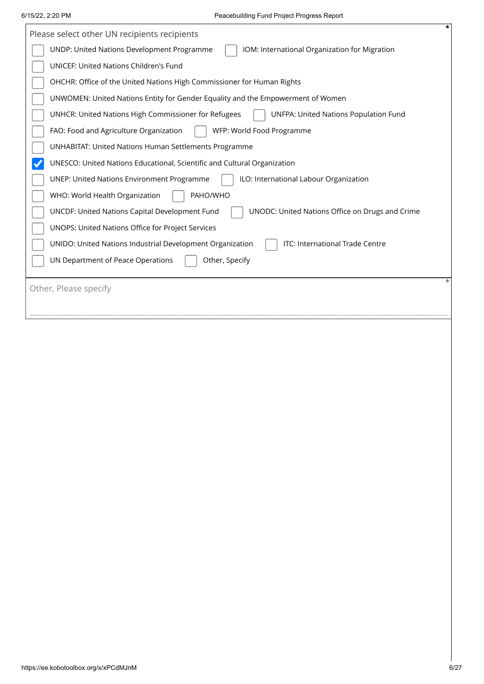| Please select other UN recipients recipients                                                         | $\star$ |
|------------------------------------------------------------------------------------------------------|---------|
| UNDP: United Nations Development Programme<br>IOM: International Organization for Migration          |         |
| UNICEF: United Nations Children's Fund                                                               |         |
| OHCHR: Office of the United Nations High Commissioner for Human Rights                               |         |
| UNWOMEN: United Nations Entity for Gender Equality and the Empowerment of Women                      |         |
| UNHCR: United Nations High Commissioner for Refugees<br><b>UNFPA: United Nations Population Fund</b> |         |
| FAO: Food and Agriculture Organization<br>WFP: World Food Programme                                  |         |
| <b>UNHABITAT: United Nations Human Settlements Programme</b>                                         |         |
| UNESCO: United Nations Educational, Scientific and Cultural Organization                             |         |
| <b>UNEP: United Nations Environment Programme</b><br>ILO: International Labour Organization          |         |
| PAHO/WHO<br>WHO: World Health Organization                                                           |         |
| UNCDF: United Nations Capital Development Fund<br>UNODC: United Nations Office on Drugs and Crime    |         |
| UNOPS: United Nations Office for Project Services                                                    |         |
| ITC: International Trade Centre<br>UNIDO: United Nations Industrial Development Organization         |         |
| UN Department of Peace Operations<br>Other, Specify                                                  |         |
| Other, Please specify                                                                                | *       |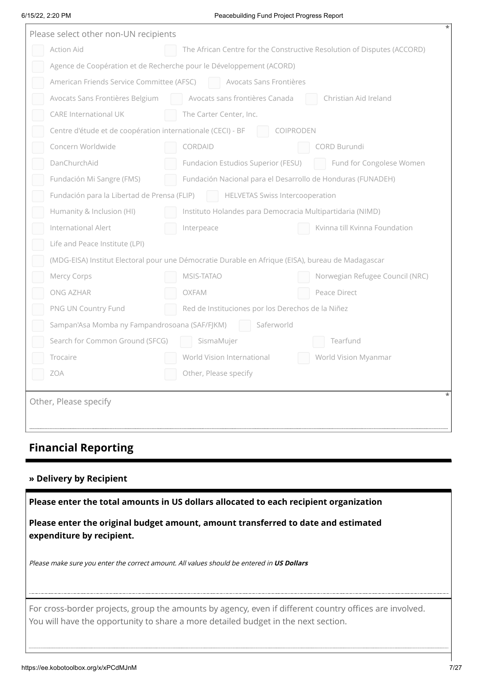#### 6/15/22, 2:20 PM Peacebuilding Fund Project Progress Report

| Please select other non-UN recipients |                                                                     |                                                                                                   |  |  |  |  |
|---------------------------------------|---------------------------------------------------------------------|---------------------------------------------------------------------------------------------------|--|--|--|--|
|                                       | <b>Action Aid</b>                                                   | The African Centre for the Constructive Resolution of Disputes (ACCORD)                           |  |  |  |  |
|                                       | Agence de Coopération et de Recherche pour le Développement (ACORD) |                                                                                                   |  |  |  |  |
|                                       | American Friends Service Committee (AFSC)                           | Avocats Sans Frontières                                                                           |  |  |  |  |
|                                       | Avocats Sans Frontières Belgium                                     | Avocats sans frontières Canada<br>Christian Aid Ireland                                           |  |  |  |  |
|                                       | <b>CARE International UK</b>                                        | The Carter Center, Inc.                                                                           |  |  |  |  |
|                                       | Centre d'étude et de coopération internationale (CECI) - BF         | COIPRODEN                                                                                         |  |  |  |  |
|                                       | Concern Worldwide                                                   | CORDAID<br>CORD Burundi                                                                           |  |  |  |  |
|                                       | DanChurchAid                                                        | Fundacion Estudios Superior (FESU)<br>Fund for Congolese Women                                    |  |  |  |  |
|                                       | Fundación Mi Sangre (FMS)                                           | Fundación Nacional para el Desarrollo de Honduras (FUNADEH)                                       |  |  |  |  |
|                                       | Fundación para la Libertad de Prensa (FLIP)                         | HELVETAS Swiss Intercooperation                                                                   |  |  |  |  |
|                                       | Humanity & Inclusion (HI)                                           | Instituto Holandes para Democracia Multipartidaria (NIMD)                                         |  |  |  |  |
|                                       | International Alert                                                 | Kvinna till Kvinna Foundation<br>Interpeace                                                       |  |  |  |  |
|                                       | Life and Peace Institute (LPI)                                      |                                                                                                   |  |  |  |  |
|                                       |                                                                     | (MDG-EISA) Institut Electoral pour une Démocratie Durable en Afrique (EISA), bureau de Madagascar |  |  |  |  |
|                                       | Mercy Corps                                                         | MSIS-TATAO<br>Norwegian Refugee Council (NRC)                                                     |  |  |  |  |
|                                       | ONG AZHAR                                                           | OXFAM<br>Peace Direct                                                                             |  |  |  |  |
|                                       | PNG UN Country Fund                                                 | Red de Instituciones por los Derechos de la Niñez                                                 |  |  |  |  |
|                                       | Sampan'Asa Momba ny Fampandrosoana (SAF/FJKM)                       | Saferworld                                                                                        |  |  |  |  |
|                                       | Search for Common Ground (SFCG)                                     | Tearfund<br>SismaMujer                                                                            |  |  |  |  |
|                                       | Trocaire                                                            | World Vision Myanmar<br>World Vision International                                                |  |  |  |  |
|                                       | <b>ZOA</b>                                                          | Other, Please specify                                                                             |  |  |  |  |
|                                       |                                                                     |                                                                                                   |  |  |  |  |
|                                       | Other, Please specify                                               |                                                                                                   |  |  |  |  |
|                                       |                                                                     |                                                                                                   |  |  |  |  |
|                                       |                                                                     |                                                                                                   |  |  |  |  |

# **Financial Reporting**

#### **» Delivery by Recipient**

**Please enter the total amounts in US dollars allocated to each recipient organization**

**Please enter the original budget amount, amount transferred to date and estimated expenditure by recipient.**

Please make sure you enter the correct amount. All values should be entered in **US Dollars**

For cross-border projects, group the amounts by agency, even if different country offices are involved.<br>You will have the opportunity to share a more detailed budget in the next section. You will have the opportunity to share a more detailed budget in the next section.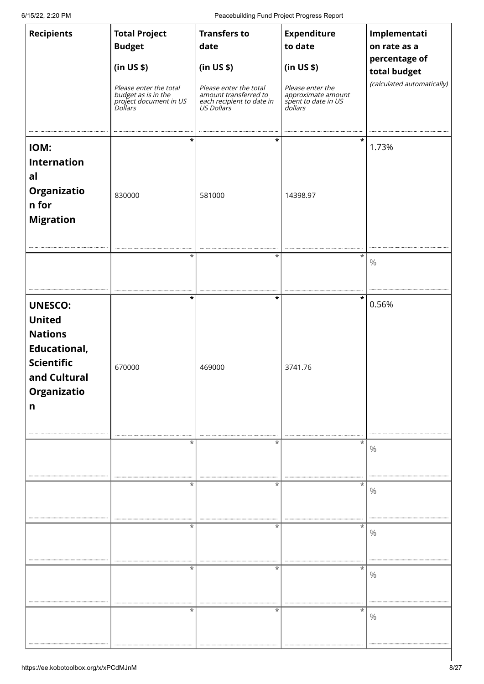6/15/22, 2:20 PM Peacebuilding Fund Project Progress Report

| <b>Recipients</b>                                                                                                                 | <b>Total Project</b><br><b>Budget</b><br>(in US \$)<br><i>Please enter the total<br/>budget as is in the<br/>project document in US<br/>Dollars</i> | <b>Transfers to</b><br>date<br>(in US \$)<br>Please enter the total<br>amount transferred to<br>each recipient to date in<br>US Dollars | <b>Expenditure</b><br>to date<br>(in US \$)<br>Please enter the<br>approximate amount<br>spent to date in US<br>dollars | Implementati<br>on rate as a<br>percentage of<br>total budget<br>(calculated automatically) |
|-----------------------------------------------------------------------------------------------------------------------------------|-----------------------------------------------------------------------------------------------------------------------------------------------------|-----------------------------------------------------------------------------------------------------------------------------------------|-------------------------------------------------------------------------------------------------------------------------|---------------------------------------------------------------------------------------------|
| IOM:<br><b>Internation</b><br>al<br>Organizatio<br>n for<br><b>Migration</b>                                                      | *<br>830000                                                                                                                                         | *<br>581000                                                                                                                             | *<br>14398.97                                                                                                           | 1.73%                                                                                       |
|                                                                                                                                   | *                                                                                                                                                   | *                                                                                                                                       | *                                                                                                                       | $\frac{0}{0}$                                                                               |
| <b>UNESCO:</b><br><b>United</b><br><b>Nations</b><br><b>Educational,</b><br><b>Scientific</b><br>and Cultural<br>Organizatio<br>n | $\star$<br>670000                                                                                                                                   | $\star$<br>469000                                                                                                                       | *<br>3741.76                                                                                                            | 0.56%                                                                                       |
|                                                                                                                                   | ×                                                                                                                                                   | *                                                                                                                                       | *                                                                                                                       | $\%$                                                                                        |
|                                                                                                                                   | ×                                                                                                                                                   | *                                                                                                                                       | *                                                                                                                       | $\%$                                                                                        |
|                                                                                                                                   | $\ast$                                                                                                                                              | *                                                                                                                                       | $\ast$                                                                                                                  | $\%$                                                                                        |
|                                                                                                                                   | *                                                                                                                                                   | *                                                                                                                                       | *                                                                                                                       | $\%$                                                                                        |
|                                                                                                                                   | $\ast$                                                                                                                                              | $^\star$                                                                                                                                | *                                                                                                                       | $\%$                                                                                        |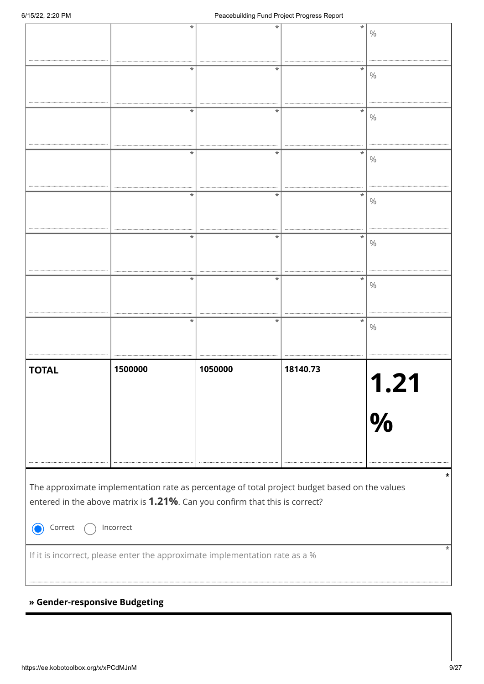|                               |           | *                                                                                             | *        |               |
|-------------------------------|-----------|-----------------------------------------------------------------------------------------------|----------|---------------|
|                               |           |                                                                                               |          | $\%$          |
|                               |           |                                                                                               |          |               |
|                               |           |                                                                                               |          |               |
|                               |           | *<br>*                                                                                        | *        | $\%$          |
|                               |           |                                                                                               |          |               |
|                               |           |                                                                                               |          |               |
|                               |           | *                                                                                             | *        |               |
|                               |           |                                                                                               |          | $\%$          |
|                               |           |                                                                                               |          |               |
|                               |           |                                                                                               |          |               |
|                               |           | *                                                                                             | *        | $\%$          |
|                               |           |                                                                                               |          |               |
|                               |           |                                                                                               |          |               |
|                               |           | *<br>*                                                                                        | *        |               |
|                               |           |                                                                                               |          | $\%$          |
|                               |           |                                                                                               |          |               |
|                               |           |                                                                                               |          |               |
|                               |           | *<br>*                                                                                        | *        | $\%$          |
|                               |           |                                                                                               |          |               |
|                               |           |                                                                                               |          |               |
|                               |           | *                                                                                             | *        |               |
|                               |           |                                                                                               |          | $\%$          |
|                               |           |                                                                                               |          |               |
|                               |           | *                                                                                             |          |               |
|                               |           | $^{\ast}$                                                                                     | *        | $\%$          |
|                               |           |                                                                                               |          |               |
|                               |           |                                                                                               |          |               |
| <b>TOTAL</b>                  | 1500000   | 1050000                                                                                       | 18140.73 |               |
|                               |           |                                                                                               |          |               |
|                               |           |                                                                                               |          |               |
|                               |           |                                                                                               |          |               |
|                               |           |                                                                                               |          | $\frac{0}{0}$ |
|                               |           |                                                                                               |          |               |
|                               |           |                                                                                               |          |               |
|                               |           |                                                                                               |          |               |
|                               |           |                                                                                               |          |               |
|                               |           |                                                                                               |          |               |
|                               |           |                                                                                               |          |               |
|                               |           | The approximate implementation rate as percentage of total project budget based on the values |          |               |
|                               |           | entered in the above matrix is 1.21%. Can you confirm that this is correct?                   |          |               |
|                               |           |                                                                                               |          |               |
| Correct                       | Incorrect |                                                                                               |          |               |
|                               |           |                                                                                               |          |               |
|                               |           |                                                                                               |          |               |
|                               |           | If it is incorrect, please enter the approximate implementation rate as a %                   |          |               |
|                               |           |                                                                                               |          |               |
|                               |           |                                                                                               |          |               |
| » Gender-responsive Budgeting |           |                                                                                               |          |               |
|                               |           |                                                                                               |          |               |
|                               |           |                                                                                               |          |               |
|                               |           |                                                                                               |          |               |
|                               |           |                                                                                               |          |               |

### **» Gender-responsive Budgeting**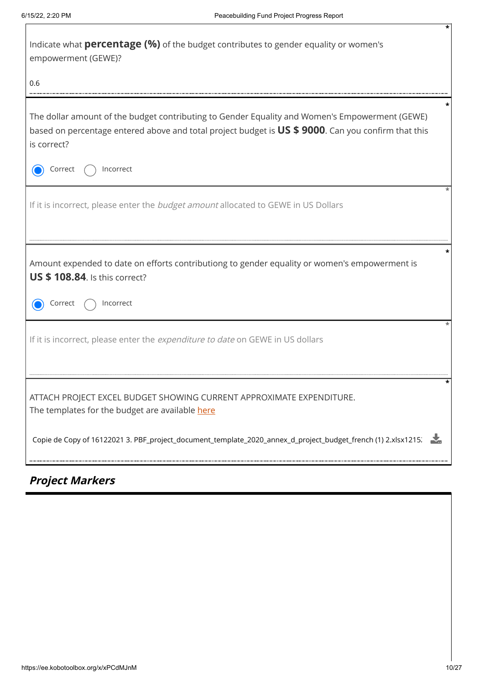| Indicate what <b>percentage (%)</b> of the budget contributes to gender equality or women's<br>empowerment (GEWE)?                                                                                                   |
|----------------------------------------------------------------------------------------------------------------------------------------------------------------------------------------------------------------------|
| 0.6                                                                                                                                                                                                                  |
| The dollar amount of the budget contributing to Gender Equality and Women's Empowerment (GEWE)<br>based on percentage entered above and total project budget is US \$ 9000. Can you confirm that this<br>is correct? |
| Incorrect<br>Correct                                                                                                                                                                                                 |
| If it is incorrect, please enter the <i>budget amount</i> allocated to GEWE in US Dollars                                                                                                                            |
| Amount expended to date on efforts contributiong to gender equality or women's empowerment is<br><b>US \$ 108.84.</b> Is this correct?                                                                               |
| Correct<br>Incorrect                                                                                                                                                                                                 |
| If it is incorrect, please enter the expenditure to date on GEWE in US dollars                                                                                                                                       |
| ATTACH PROJECT EXCEL BUDGET SHOWING CURRENT APPROXIMATE EXPENDITURE.                                                                                                                                                 |
| The templates for the budget are available here                                                                                                                                                                      |
| Copie de Copy of 16122021 3. PBF_project_document_template_2020_annex_d_project_budget_french (1) 2.xlsx1215.                                                                                                        |

# **Project Markers**

**\***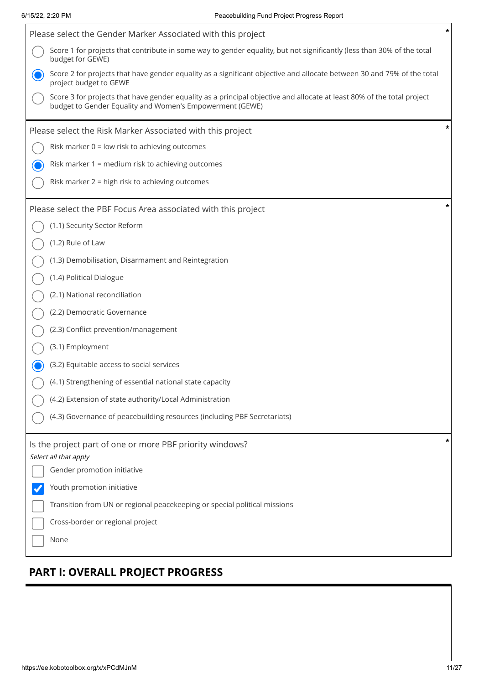$\mathsf{r}$ 

| Please select the Gender Marker Associated with this project                                                                                                                       | * |
|------------------------------------------------------------------------------------------------------------------------------------------------------------------------------------|---|
| Score 1 for projects that contribute in some way to gender equality, but not significantly (less than 30% of the total<br>budget for GEWE)                                         |   |
| Score 2 for projects that have gender equality as a significant objective and allocate between 30 and 79% of the total<br>project budget to GEWE                                   |   |
| Score 3 for projects that have gender equality as a principal objective and allocate at least 80% of the total project<br>budget to Gender Equality and Women's Empowerment (GEWE) |   |
| Please select the Risk Marker Associated with this project                                                                                                                         | × |
| Risk marker $0 =$ low risk to achieving outcomes                                                                                                                                   |   |
| Risk marker 1 = medium risk to achieving outcomes                                                                                                                                  |   |
| Risk marker 2 = high risk to achieving outcomes                                                                                                                                    |   |
| Please select the PBF Focus Area associated with this project                                                                                                                      | × |
| (1.1) Security Sector Reform                                                                                                                                                       |   |
| (1.2) Rule of Law                                                                                                                                                                  |   |
| (1.3) Demobilisation, Disarmament and Reintegration                                                                                                                                |   |
| (1.4) Political Dialogue                                                                                                                                                           |   |
| (2.1) National reconciliation                                                                                                                                                      |   |
| (2.2) Democratic Governance                                                                                                                                                        |   |
| (2.3) Conflict prevention/management                                                                                                                                               |   |
| (3.1) Employment                                                                                                                                                                   |   |
| (3.2) Equitable access to social services                                                                                                                                          |   |
| (4.1) Strengthening of essential national state capacity                                                                                                                           |   |
| (4.2) Extension of state authority/Local Administration                                                                                                                            |   |
| (4.3) Governance of peacebuilding resources (including PBF Secretariats)                                                                                                           |   |
| Is the project part of one or more PBF priority windows?                                                                                                                           | * |
| Select all that apply<br>Gender promotion initiative                                                                                                                               |   |
| Youth promotion initiative                                                                                                                                                         |   |
| Transition from UN or regional peacekeeping or special political missions                                                                                                          |   |
| Cross-border or regional project                                                                                                                                                   |   |
| None                                                                                                                                                                               |   |
|                                                                                                                                                                                    |   |

# **PART I: OVERALL PROJECT PROGRESS**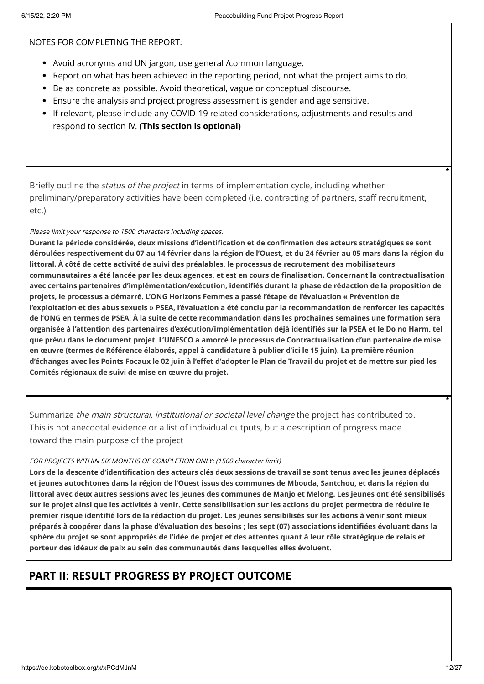NOTES FOR COMPLETING THE REPORT:

- Avoid acronyms and UN jargon, use general /common language.
- Report on what has been achieved in the reporting period, not what the project aims to do.
- Be as concrete as possible. Avoid theoretical, vague or conceptual discourse.
- Ensure the analysis and project progress assessment is gender and age sensitive.
- If relevant, please include any COVID-19 related considerations, adjustments and results and respond to section IV. **(This section is optional)**

Briefly outline the *status of the project* in terms of implementation cycle, including whether preliminary/preparatory activities have been completed (i.e. contracting of partners, staff recruitment, etc.)

#### Please limit your response to 1500 characters including spaces.

**Durant la période considérée, deux missions d'identification et de confirmation des acteurs stratégiques se sont déroulées respectivement du 07 au 14 février dans la région de l'Ouest, et du 24 février au 05 mars dans la région du littoral. À côté de cette activité de suivi des préalables, le processus de recrutement des mobilisateurs communautaires a été lancée par les deux agences, et est en cours de finalisation. Concernant la contractualisation avec certains partenaires d'implémentation/exécution, identifiés durant la phase de rédaction de la proposition de projets, le processus a démarré. L'ONG Horizons Femmes a passé l'étape de l'évaluation « Prévention de l'exploitation et des abus sexuels » PSEA, l'évaluation a été conclu par la recommandation de renforcer les capacités de l'ONG en termes de PSEA. À la suite de cette recommandation dans les prochaines semaines une formation sera organisée à l'attention des partenaires d'exécution/implémentation déjà identifiés sur la PSEA et le Do no Harm, tel que prévu dans le document projet. L'UNESCO a amorcé le processus de Contractualisation d'un partenaire de mise en œuvre (termes de Référence élaborés, appel à candidature à publier d'ici le 15 juin). La première réunion d'échanges avec les Points Focaux le 02 juin à l'effet d'adopter le Plan de Travail du projet et de mettre sur pied les Comités régionaux de suivi de mise en œuvre du projet.**

Summarize *the main structural, institutional or societal level change* the project has contributed to. This is not anecdotal evidence or a list of individual outputs, but a description of progress made toward the main purpose of the project

#### FOR PROJECTS WITHIN SIX MONTHS OF COMPLETION ONLY; (1500 character limit)

**Lors de la descente d'identification des acteurs clés deux sessions de travail se sont tenus avec les jeunes déplacés et jeunes autochtones dans la région de l'Ouest issus des communes de Mbouda, Santchou, et dans la région du littoral avec deux autres sessions avec les jeunes des communes de Manjo et Melong. Les jeunes ont été sensibilisés sur le projet ainsi que les activités à venir. Cette sensibilisation sur les actions du projet permettra de réduire le premier risque identifié lors de la rédaction du projet. Les jeunes sensibilisés sur les actions à venir sont mieux préparés à coopérer dans la phase d'évaluation des besoins ; les sept (07) associations identifiées évoluant dans la sphère du projet se sont appropriés de l'idée de projet et des attentes quant à leur rôle stratégique de relais et porteur des idéaux de paix au sein des communautés dans lesquelles elles évoluent.**

# **PART II: RESULT PROGRESS BY PROJECT OUTCOME**

**\***

**\***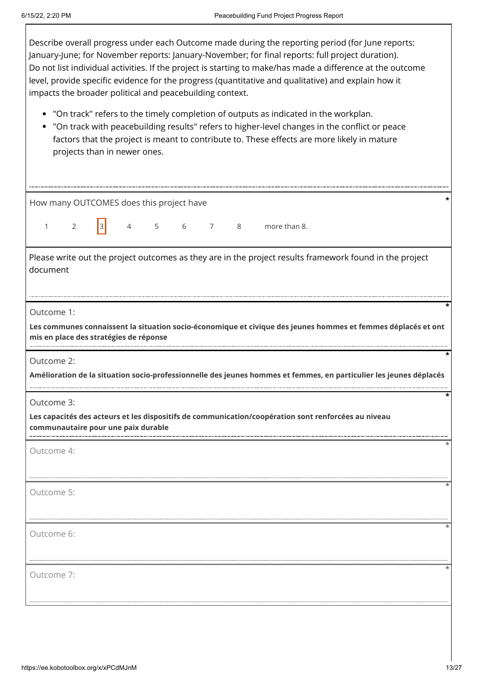$\mathsf I$ 

| Describe overall progress under each Outcome made during the reporting period (for June reports:<br>January-June; for November reports: January-November; for final reports: full project duration).<br>Do not list individual activities. If the project is starting to make/has made a difference at the outcome<br>level, provide specific evidence for the progress (quantitative and qualitative) and explain how it<br>impacts the broader political and peacebuilding context. |  |  |  |  |  |  |
|---------------------------------------------------------------------------------------------------------------------------------------------------------------------------------------------------------------------------------------------------------------------------------------------------------------------------------------------------------------------------------------------------------------------------------------------------------------------------------------|--|--|--|--|--|--|
| "On track" refers to the timely completion of outputs as indicated in the workplan.<br>"On track with peacebuilding results" refers to higher-level changes in the conflict or peace<br>factors that the project is meant to contribute to. These effects are more likely in mature<br>projects than in newer ones.                                                                                                                                                                   |  |  |  |  |  |  |
| How many OUTCOMES does this project have                                                                                                                                                                                                                                                                                                                                                                                                                                              |  |  |  |  |  |  |
| 3 <br>$5\overline{5}$<br>$\overline{7}$<br>more than 8.<br>$\overline{2}$<br>$\overline{4}$<br>6<br>8<br>$\mathbf{1}$                                                                                                                                                                                                                                                                                                                                                                 |  |  |  |  |  |  |
| Please write out the project outcomes as they are in the project results framework found in the project<br>document                                                                                                                                                                                                                                                                                                                                                                   |  |  |  |  |  |  |
| Outcome 1:<br>Les communes connaissent la situation socio-économique et civique des jeunes hommes et femmes déplacés et ont<br>mis en place des stratégies de réponse                                                                                                                                                                                                                                                                                                                 |  |  |  |  |  |  |
| Outcome 2:<br>Amélioration de la situation socio-professionnelle des jeunes hommes et femmes, en particulier les jeunes déplacés                                                                                                                                                                                                                                                                                                                                                      |  |  |  |  |  |  |
|                                                                                                                                                                                                                                                                                                                                                                                                                                                                                       |  |  |  |  |  |  |
| Outcome 3:                                                                                                                                                                                                                                                                                                                                                                                                                                                                            |  |  |  |  |  |  |
| Les capacités des acteurs et les dispositifs de communication/coopération sont renforcées au niveau<br>communautaire pour une paix durable                                                                                                                                                                                                                                                                                                                                            |  |  |  |  |  |  |
| Outcome 4:                                                                                                                                                                                                                                                                                                                                                                                                                                                                            |  |  |  |  |  |  |
| Outcome 5:                                                                                                                                                                                                                                                                                                                                                                                                                                                                            |  |  |  |  |  |  |
| Outcome 6:                                                                                                                                                                                                                                                                                                                                                                                                                                                                            |  |  |  |  |  |  |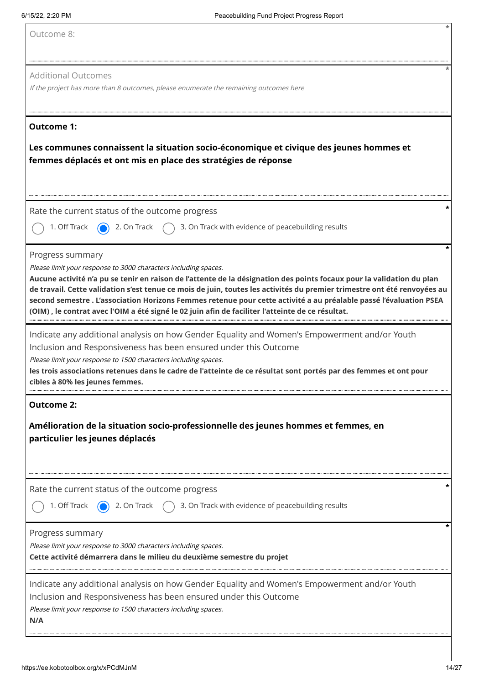|  |  |  |  |  |  | Outcome 8: |
|--|--|--|--|--|--|------------|
|--|--|--|--|--|--|------------|

#### Additional Outcomes

If the project has more than 8 outcomes, please enumerate the remaining outcomes here

#### **Outcome 1:**

#### **Les communes connaissent la situation socio-économique et civique des jeunes hommes et femmes déplacés et ont mis en place des stratégies de réponse**

Rate the current status of the outcome progress **\***



1. Off Track  $\bigcirc$  2. On Track  $\bigcirc$  3. On Track with evidence of peacebuilding results

Progress summary

Please limit your response to 3000 characters including spaces.

**Aucune activité n'a pu se tenir en raison de l'attente de la désignation des points focaux pour la validation du plan de travail. Cette validation s'est tenue ce mois de juin, toutes les activités du premier trimestre ont été renvoyées au second semestre . L'association Horizons Femmes retenue pour cette activité a au préalable passé l'évaluation PSEA (OIM) , le contrat avec l'OIM a été signé le 02 juin afin de faciliter l'atteinte de ce résultat.**

Indicate any additional analysis on how Gender Equality and Women's Empowerment and/or Youth Inclusion and Responsiveness has been ensured under this Outcome

Please limit your response to 1500 characters including spaces.

**les trois associations retenues dans le cadre de l'atteinte de ce résultat sont portés par des femmes et ont pour cibles à 80% les jeunes femmes.**

#### **Outcome 2:**

**Amélioration de la situation socio-professionnelle des jeunes hommes et femmes, en particulier les jeunes déplacés**

Rate the current status of the outcome progress **\***

1. Off Track  $\bigcirc$  2. On Track  $\bigcirc$  3. On Track with evidence of peacebuilding results

#### Progress summary

Please limit your response to 3000 characters including spaces.

**Cette activité démarrera dans le milieu du deuxième semestre du projet**

Indicate any additional analysis on how Gender Equality and Women's Empowerment and/or Youth Inclusion and Responsiveness has been ensured under this Outcome

Please limit your response to 1500 characters including spaces.

**N/A**

**\***

**\***

**\***

**\***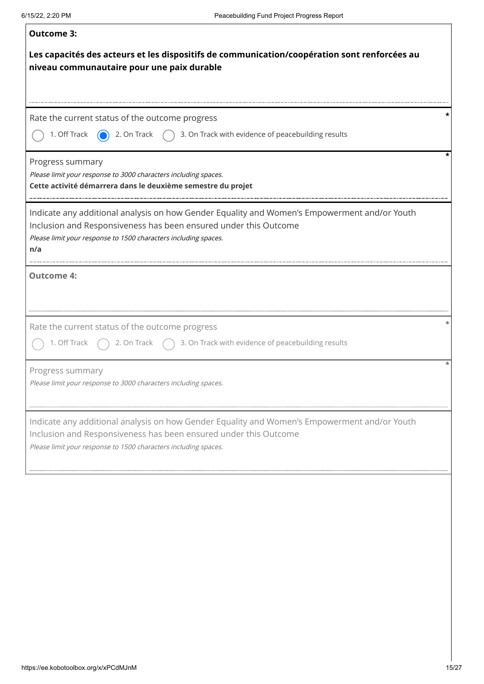| <b>Outcome 3:</b>                                                                                                                                                                                                                          |
|--------------------------------------------------------------------------------------------------------------------------------------------------------------------------------------------------------------------------------------------|
| Les capacités des acteurs et les dispositifs de communication/coopération sont renforcées au<br>niveau communautaire pour une paix durable                                                                                                 |
| Rate the current status of the outcome progress<br>1. Off Track $\qquad \qquad$ 2. On Track<br>$\bigcap$ 3. On Track with evidence of peacebuilding results                                                                                |
| Progress summary<br>Please limit your response to 3000 characters including spaces.<br>Cette activité démarrera dans le deuxième semestre du projet                                                                                        |
| Indicate any additional analysis on how Gender Equality and Women's Empowerment and/or Youth<br>Inclusion and Responsiveness has been ensured under this Outcome<br>Please limit your response to 1500 characters including spaces.<br>n/a |
| <b>Outcome 4:</b>                                                                                                                                                                                                                          |
| Rate the current status of the outcome progress<br>2. On Track $\binom{1}{2}$ 3. On Track with evidence of peacebuilding results<br>1. Off Track                                                                                           |
| Progress summary<br>Please limit your response to 3000 characters including spaces.                                                                                                                                                        |
| Indicate any additional analysis on how Gender Equality and Women's Empowerment and/or Youth<br>Inclusion and Responsiveness has been ensured under this Outcome<br>Please limit your response to 1500 characters including spaces.        |
|                                                                                                                                                                                                                                            |
|                                                                                                                                                                                                                                            |
|                                                                                                                                                                                                                                            |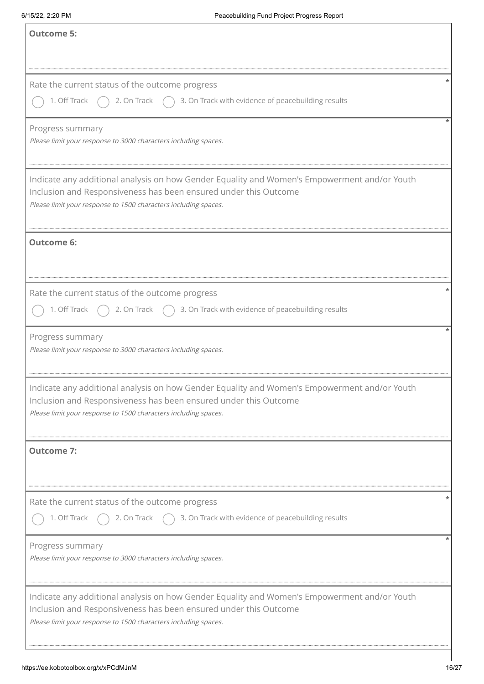| <b>Outcome 5:</b>                                                                                                                                                                                                                   |
|-------------------------------------------------------------------------------------------------------------------------------------------------------------------------------------------------------------------------------------|
| Rate the current status of the outcome progress<br>1. Off Track<br>2. On Track $\bigcap$ 3. On Track with evidence of peacebuilding results                                                                                         |
| Progress summary<br>Please limit your response to 3000 characters including spaces.                                                                                                                                                 |
| Indicate any additional analysis on how Gender Equality and Women's Empowerment and/or Youth<br>Inclusion and Responsiveness has been ensured under this Outcome<br>Please limit your response to 1500 characters including spaces. |
| <b>Outcome 6:</b>                                                                                                                                                                                                                   |
| Rate the current status of the outcome progress<br>2. On Track $\bigcap$ 3. On Track with evidence of peacebuilding results<br>1. Off Track                                                                                         |
| Progress summary<br>Please limit your response to 3000 characters including spaces.                                                                                                                                                 |
| Indicate any additional analysis on how Gender Equality and Women's Empowerment and/or Youth<br>Inclusion and Responsiveness has been ensured under this Outcome<br>Please limit your response to 1500 characters including spaces. |
| <b>Outcome 7:</b>                                                                                                                                                                                                                   |
| Rate the current status of the outcome progress<br>1. Off Track<br>2. On Track $\bigcap$ 3. On Track with evidence of peacebuilding results                                                                                         |
| Progress summary<br>Please limit your response to 3000 characters including spaces.                                                                                                                                                 |
| Indicate any additional analysis on how Gender Equality and Women's Empowerment and/or Youth<br>Inclusion and Responsiveness has been ensured under this Outcome<br>Please limit your response to 1500 characters including spaces. |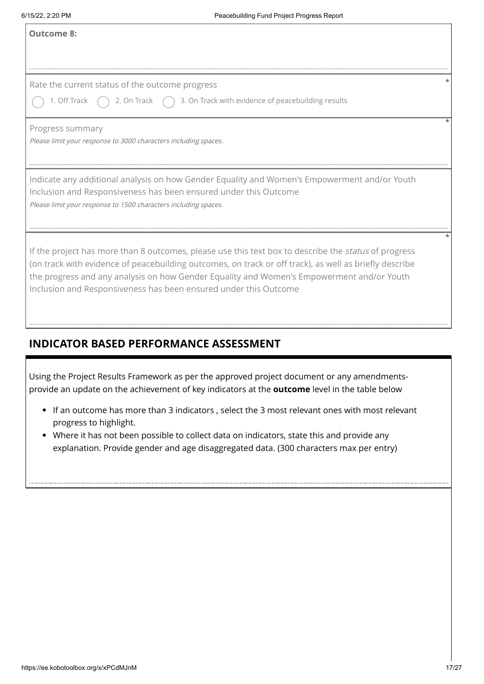$\overline{1}$ 

| <b>Outcome 8:</b>                                                                                                                                                                                                                                                                                                                                                               |
|---------------------------------------------------------------------------------------------------------------------------------------------------------------------------------------------------------------------------------------------------------------------------------------------------------------------------------------------------------------------------------|
| Rate the current status of the outcome progress<br>$\bigcirc$ 1. Off Track $\bigcirc$ 2. On Track $\bigcirc$ 3. On Track with evidence of peacebuilding results                                                                                                                                                                                                                 |
| Progress summary<br>Please limit your response to 3000 characters including spaces.                                                                                                                                                                                                                                                                                             |
| Indicate any additional analysis on how Gender Equality and Women's Empowerment and/or Youth<br>Inclusion and Responsiveness has been ensured under this Outcome<br>Please limit your response to 1500 characters including spaces.                                                                                                                                             |
| If the project has more than 8 outcomes, please use this text box to describe the status of progress<br>(on track with evidence of peacebuilding outcomes, on track or off track), as well as briefly describe<br>the progress and any analysis on how Gender Equality and Women's Empowerment and/or Youth<br>Inclusion and Responsiveness has been ensured under this Outcome |
| <b>INDICATOR BASED PERFORMANCE ASSESSMENT</b>                                                                                                                                                                                                                                                                                                                                   |
| $\mid$ Using the Project Results Framework as per the approved project document or any amendments-<br>$\mid$ provide an update on the achievement of key indicators at the $\textsf{outcome}$ level in the table below                                                                                                                                                          |
| • If an outcome has more than 3 indicators, select the 3 most relevant ones with most relevant<br>progress to highlight.<br>• Where it has not been possible to collect data on indicators, state this and provide any<br>explanation. Provide gender and age disaggregated data. (300 characters max per entry)                                                                |
|                                                                                                                                                                                                                                                                                                                                                                                 |
|                                                                                                                                                                                                                                                                                                                                                                                 |

# **INDICATOR BASED PERFORMANCE ASSESSMENT**

- If an outcome has more than 3 indicators , select the 3 most relevant ones with most relevant progress to highlight.
- Where it has not been possible to collect data on indicators, state this and provide any explanation. Provide gender and age disaggregated data. (300 characters max per entry)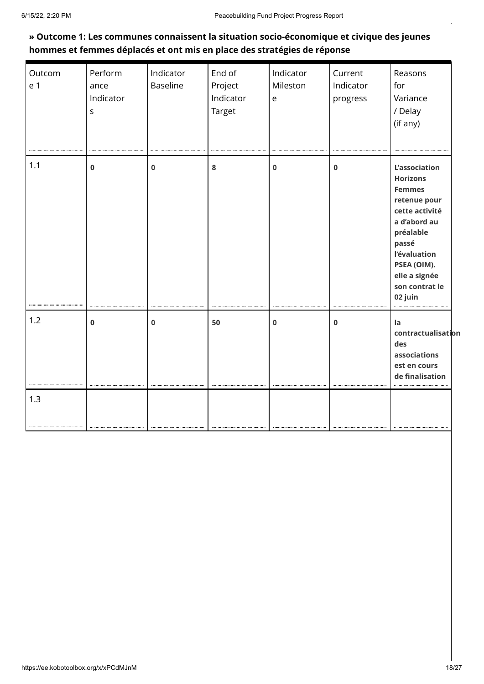### **» Outcome 1: Les communes connaissent la situation socio-économique et civique des jeunes hommes et femmes déplacés et ont mis en place des stratégies de réponse**

| Outcom<br>e 1 | Perform<br>ance<br>Indicator<br>S | Indicator<br><b>Baseline</b> | End of<br>Project<br>Indicator<br>Target | Indicator<br>Mileston<br>e | Current<br>Indicator<br>progress | Reasons<br>for<br>Variance<br>/ Delay<br>(if any)                                                                                                                                                             |
|---------------|-----------------------------------|------------------------------|------------------------------------------|----------------------------|----------------------------------|---------------------------------------------------------------------------------------------------------------------------------------------------------------------------------------------------------------|
| 1.1           | $\mathbf 0$                       | $\mathbf 0$                  | 8                                        | $\mathbf 0$                | 0                                | <b>L'association</b><br><b>Horizons</b><br><b>Femmes</b><br>retenue pour<br>cette activité<br>a d'abord au<br>préalable<br>passé<br>l'évaluation<br>PSEA (OIM).<br>elle a signée<br>son contrat le<br>02 juin |
| 1.2           | $\mathbf 0$                       | $\mathbf 0$                  | 50                                       | $\bf{0}$                   | 0                                | la<br>contractualisation<br>des<br>associations<br>est en cours<br>de finalisation                                                                                                                            |
| 1.3           |                                   |                              |                                          |                            |                                  |                                                                                                                                                                                                               |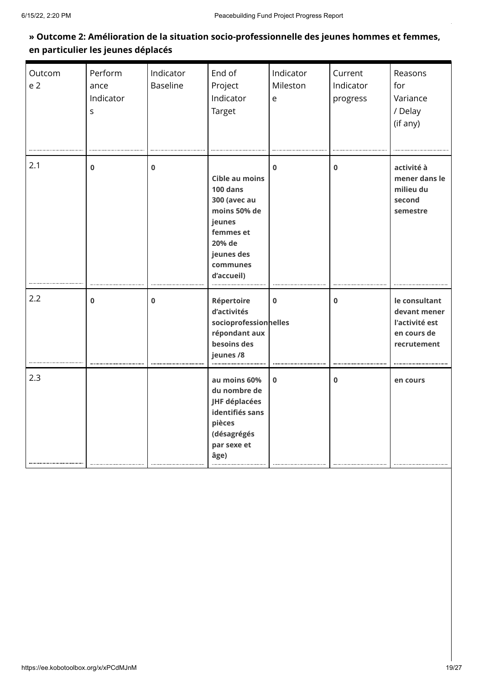### **» Outcome 2: Amélioration de la situation socio-professionnelle des jeunes hommes et femmes, en particulier les jeunes déplacés**

| Outcom<br>e <sub>2</sub> | Perform<br>ance<br>Indicator<br>$\mathsf{S}$ | Indicator<br><b>Baseline</b> | End of<br>Project<br>Indicator<br>Target                                                                                                            | Indicator<br>Mileston<br>e | Current<br>Indicator<br>progress | Reasons<br>for<br>Variance<br>/ Delay<br>(if any)                             |
|--------------------------|----------------------------------------------|------------------------------|-----------------------------------------------------------------------------------------------------------------------------------------------------|----------------------------|----------------------------------|-------------------------------------------------------------------------------|
| 2.1                      | $\mathbf 0$                                  | $\mathbf 0$                  | <b>Cible au moins</b><br>$100$ dans<br><b>300 (avec au</b><br>moins 50% de<br>jeunes<br>femmes et<br>20% de<br>jeunes des<br>communes<br>d'accueil) | $\Omega$                   | $\mathbf 0$                      | activité à<br>mener dans le<br>milieu du<br>second<br>semestre                |
| 2.2                      | $\mathbf 0$                                  | $\mathbf 0$                  | Répertoire<br>d'activités<br>socioprofessionnelles<br>répondant aux<br>besoins des<br>jeunes /8                                                     | $\bf{0}$                   | $\bf{0}$                         | le consultant<br>devant mener<br>l'activité est<br>en cours de<br>recrutement |
| 2.3                      |                                              |                              | au moins 60%<br>du nombre de<br>JHF déplacées<br>identifiés sans<br>pièces<br>(désagrégés<br>par sexe et<br>âge)                                    | $\bf{0}$                   | $\bf{0}$                         | en cours                                                                      |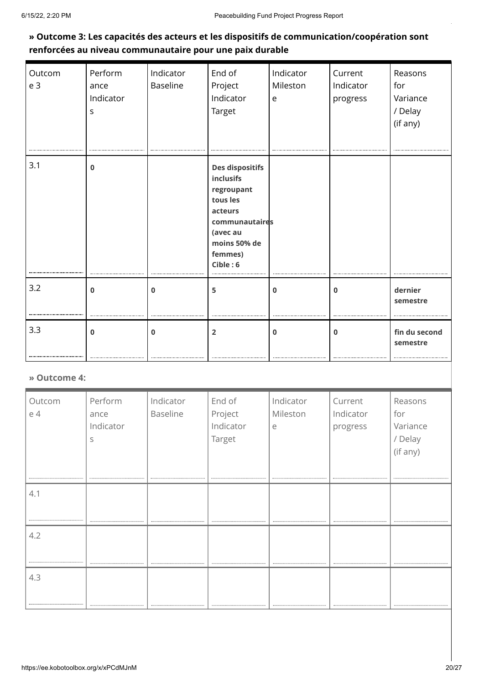### **» Outcome 3: Les capacités des acteurs et les dispositifs de communication/coopération sont renforcées au niveau communautaire pour une paix durable**

| Outcom<br>e <sub>3</sub> | Perform<br>ance<br>Indicator<br>S | Indicator<br><b>Baseline</b> | End of<br>Project<br>Indicator<br><b>Target</b>                                                                                                      | Indicator<br>Mileston<br>e | Current<br>Indicator<br>progress | Reasons<br>for<br>Variance<br>/ Delay<br>(if any) |
|--------------------------|-----------------------------------|------------------------------|------------------------------------------------------------------------------------------------------------------------------------------------------|----------------------------|----------------------------------|---------------------------------------------------|
| 3.1                      | $\bf{0}$                          |                              | <b>Des dispositifs</b><br><b>inclusifs</b><br>regroupant<br>tous les<br>acteurs<br>communautaires<br>(avec au<br>moins 50% de<br>femmes)<br>Cible: 6 |                            |                                  |                                                   |
| 3.2                      | $\bf{0}$                          | $\mathbf{0}$                 | 5                                                                                                                                                    | $\bf{0}$                   | $\bf{0}$                         | dernier<br>semestre                               |
| 3.3                      | $\mathbf 0$                       | $\mathbf 0$                  | $\overline{2}$                                                                                                                                       | 0                          | $\mathbf 0$                      | fin du second<br>semestre                         |

#### **» Outcome 4:**

| Outcom<br>e 4 | Perform<br>ance<br>Indicator<br>S | Indicator<br>Baseline | End of<br>Project<br>Indicator<br>Target | Indicator<br>Mileston<br>e | Current<br>Indicator<br>progress | Reasons<br>for<br>Variance<br>/ Delay<br>(if any) |
|---------------|-----------------------------------|-----------------------|------------------------------------------|----------------------------|----------------------------------|---------------------------------------------------|
| 4.1           |                                   |                       |                                          |                            |                                  |                                                   |
|               |                                   |                       |                                          |                            |                                  |                                                   |
| 4.2           |                                   |                       |                                          |                            |                                  |                                                   |
|               |                                   |                       |                                          |                            |                                  |                                                   |
|               |                                   |                       |                                          |                            |                                  |                                                   |
| 4.3           |                                   |                       |                                          |                            |                                  |                                                   |
|               |                                   |                       |                                          |                            |                                  |                                                   |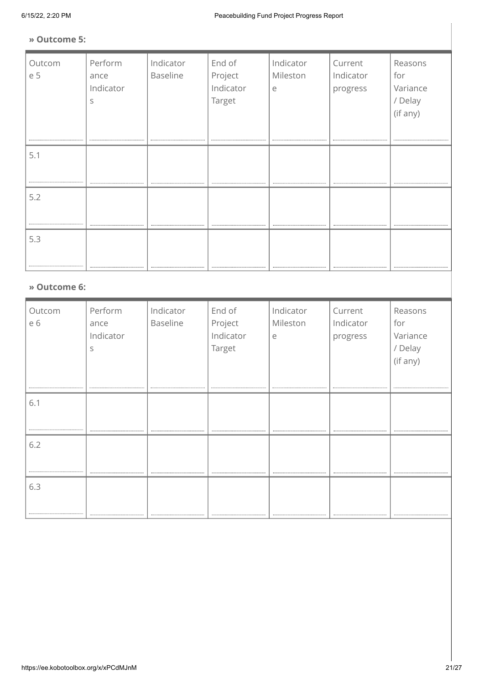#### **» Outcome 5:**

| Outcom<br>e 5 | Perform<br>ance<br>Indicator<br>S | Indicator<br><b>Baseline</b> | End of<br>Project<br>Indicator<br>Target | Indicator<br>Mileston<br>e | Current<br>Indicator<br>progress | Reasons<br>for<br>Variance<br>/ Delay<br>(if any) |
|---------------|-----------------------------------|------------------------------|------------------------------------------|----------------------------|----------------------------------|---------------------------------------------------|
| 5.1           |                                   |                              |                                          |                            |                                  |                                                   |
| 5.2           |                                   |                              |                                          |                            |                                  |                                                   |
| 5.3           |                                   |                              |                                          |                            |                                  |                                                   |

#### **» Outcome 6:**

| Outcom<br>e 6 | Perform<br>ance<br>Indicator<br>S | Indicator<br>Baseline | End of<br>Project<br>Indicator<br>Target | Indicator<br>Mileston<br>e | Current<br>Indicator<br>progress | Reasons<br>for<br>Variance<br>/ Delay<br>(if any) |
|---------------|-----------------------------------|-----------------------|------------------------------------------|----------------------------|----------------------------------|---------------------------------------------------|
| 6.1           |                                   |                       |                                          |                            |                                  |                                                   |
|               |                                   |                       |                                          |                            |                                  |                                                   |
| 6.2           |                                   |                       |                                          |                            |                                  |                                                   |
|               |                                   |                       |                                          |                            |                                  |                                                   |
| 6.3           |                                   |                       |                                          |                            |                                  |                                                   |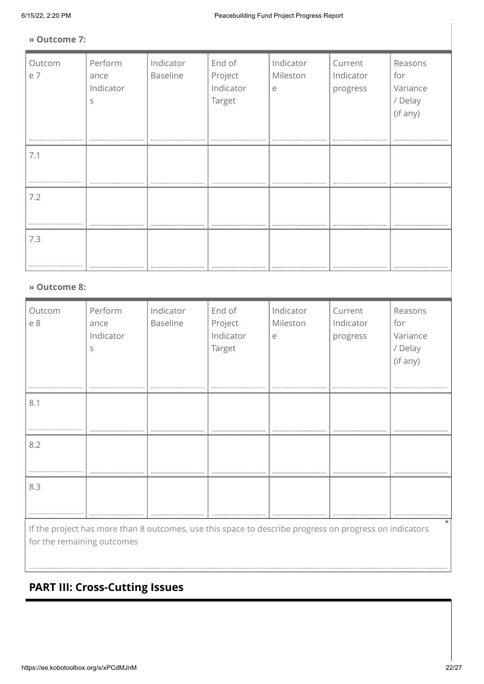#### **» Outcome 7:**

| Outcom | Perform   | Indicator | End of    | Indicator | Current   | Reasons  |
|--------|-----------|-----------|-----------|-----------|-----------|----------|
| e 7    | ance      | Baseline  | Project   | Mileston  | Indicator | for      |
|        | Indicator |           | Indicator | e         | progress  | Variance |
|        | S         |           | Target    |           |           | / Delay  |
|        |           |           |           |           |           | (if any) |
|        |           |           |           |           |           |          |
|        |           |           |           |           |           |          |
| 7.1    |           |           |           |           |           |          |
|        |           |           |           |           |           |          |
|        |           |           |           |           |           |          |
| 7.2    |           |           |           |           |           |          |
|        |           |           |           |           |           |          |
|        |           |           |           |           |           |          |
|        |           |           |           |           |           |          |
| 7.3    |           |           |           |           |           |          |
|        |           |           |           |           |           |          |
|        |           |           |           |           |           |          |

#### **» Outcome 8:**

| Outcom<br>e 8                                                                                                     | Perform<br>ance<br>Indicator<br>S<br> | Indicator<br><b>Baseline</b><br>-------------------------- | End of<br>Project<br>Indicator<br>Target<br> | Indicator<br>Mileston<br>e | Current<br>Indicator<br>progress | Reasons<br>for<br>Variance<br>/ Delay<br>(if any) |
|-------------------------------------------------------------------------------------------------------------------|---------------------------------------|------------------------------------------------------------|----------------------------------------------|----------------------------|----------------------------------|---------------------------------------------------|
| 8.1                                                                                                               |                                       |                                                            |                                              |                            |                                  |                                                   |
| 8.2                                                                                                               |                                       |                                                            |                                              |                            |                                  |                                                   |
| 8.3                                                                                                               |                                       |                                                            |                                              |                            |                                  |                                                   |
| $\star$<br>If the project has more than 8 outcomes, use this space to describe progress on progress on indicators |                                       |                                                            |                                              |                            |                                  |                                                   |

for the remaining outcomes

# **PART III: Cross-Cutting Issues**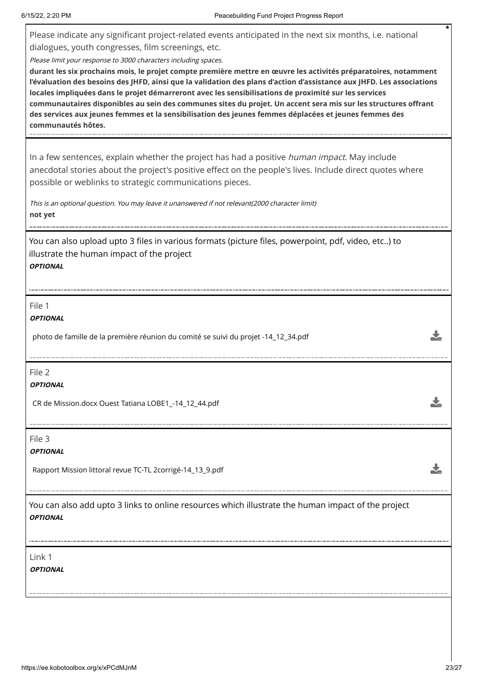Please indicate any significant project-related events anticipated in the next six months, i.e. national dialogues, youth congresses, film screenings, etc.

Please limit your response to 3000 characters including spaces.

**durant les six prochains mois, le projet compte première mettre en œuvre les activités préparatoires, notamment l'évaluation des besoins des JHFD, ainsi que la validation des plans d'action d'assistance aux JHFD. Les associations locales impliquées dans le projet démarreront avec les sensibilisations de proximité sur les services communautaires disponibles au sein des communes sites du projet. Un accent sera mis sur les structures offrant des services aux jeunes femmes et la sensibilisation des jeunes femmes déplacées et jeunes femmes des communautés hôtes.**

In a few sentences, explain whether the project has had a positive *human impact*. May include anecdotal stories about the project's positive effect on the people's lives. Include direct quotes where possible or weblinks to strategic communications pieces.

This is an optional question. You may leave it unanswered if not relevant(2000 character limit) **not yet**

You can also upload upto 3 files in various formats (picture files, powerpoint, pdf, video, etc..) to illustrate the human impact of the project **OPTIONAL**

File 1

**OPTIONAL**

photo de famille de la première réunion du comité se suivi du projet -14\_12\_34.pdf

File 2

**OPTIONAL**

CR de Mission.docx Ouest Tatiana LOBE1\_-14\_12\_44.pdf

File 3

**OPTIONAL**

Rapport Mission littoral revue TC-TL 2corrigé-14\_13\_9.pdf

You can also add upto 3 links to online resources which illustrate the human impact of the project **OPTIONAL**

Link 1

**OPTIONAL**

**\***

 $\frac{1}{2}$ 

Ł

J.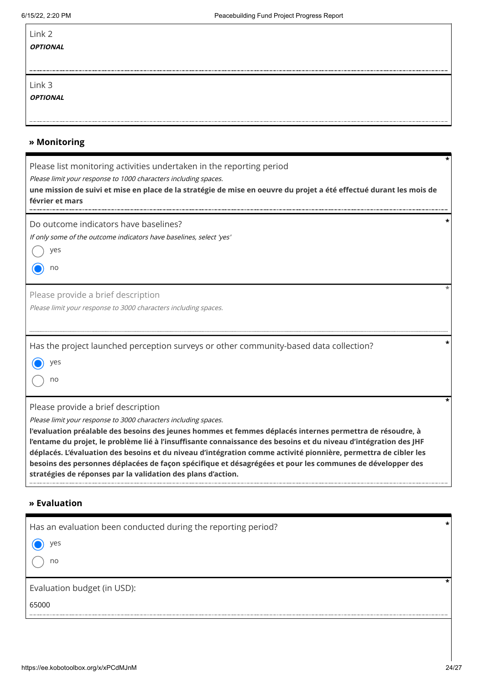| Link 2<br><b>OPTIONAL</b> |
|---------------------------|
| Link 3<br><b>OPTIONAL</b> |
|                           |

### **» Monitoring**

| Please list monitoring activities undertaken in the reporting period<br>Please limit your response to 1000 characters including spaces.<br>une mission de suivi et mise en place de la stratégie de mise en oeuvre du projet a été effectué durant les mois de<br>février et mars                                                                                                                                                                                                                                                                                                                |  |
|--------------------------------------------------------------------------------------------------------------------------------------------------------------------------------------------------------------------------------------------------------------------------------------------------------------------------------------------------------------------------------------------------------------------------------------------------------------------------------------------------------------------------------------------------------------------------------------------------|--|
| Do outcome indicators have baselines?<br>If only some of the outcome indicators have baselines, select 'yes'                                                                                                                                                                                                                                                                                                                                                                                                                                                                                     |  |
| yes                                                                                                                                                                                                                                                                                                                                                                                                                                                                                                                                                                                              |  |
| no                                                                                                                                                                                                                                                                                                                                                                                                                                                                                                                                                                                               |  |
| Please provide a brief description                                                                                                                                                                                                                                                                                                                                                                                                                                                                                                                                                               |  |
| Please limit your response to 3000 characters including spaces.                                                                                                                                                                                                                                                                                                                                                                                                                                                                                                                                  |  |
| Has the project launched perception surveys or other community-based data collection?                                                                                                                                                                                                                                                                                                                                                                                                                                                                                                            |  |
| yes                                                                                                                                                                                                                                                                                                                                                                                                                                                                                                                                                                                              |  |
| no                                                                                                                                                                                                                                                                                                                                                                                                                                                                                                                                                                                               |  |
| Please provide a brief description                                                                                                                                                                                                                                                                                                                                                                                                                                                                                                                                                               |  |
| Please limit your response to 3000 characters including spaces.<br>l'evaluation préalable des besoins des jeunes hommes et femmes déplacés internes permettra de résoudre, à<br>l'entame du projet, le problème lié à l'insuffisante connaissance des besoins et du niveau d'intégration des JHF<br>déplacés. L'évaluation des besoins et du niveau d'intégration comme activité pionnière, permettra de cibler les<br>besoins des personnes déplacées de façon spécifique et désagrégées et pour les communes de développer des<br>stratégies de réponses par la validation des plans d'action. |  |

### **» Evaluation**

| Has an evaluation been conducted during the reporting period? | $\star$ |
|---------------------------------------------------------------|---------|
| yes                                                           |         |
| no                                                            |         |
|                                                               |         |
| Evaluation budget (in USD):                                   |         |
| 65000                                                         |         |
|                                                               |         |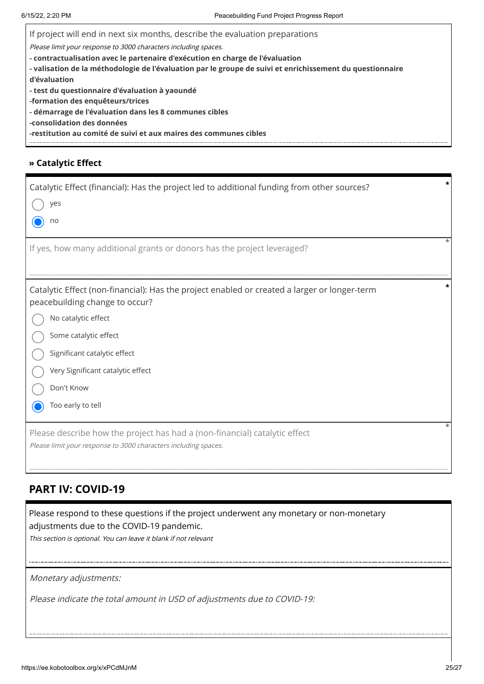If project will end in next six months, describe the evaluation preparations

Please limit your response to 3000 characters including spaces.

**- contractualisation avec le partenaire d'exécution en charge de l'évaluation** 

**- valisation de la méthodologie de l'évaluation par le groupe de suivi et enrichissement du questionnaire d'évaluation** 

**- test du questionnaire d'évaluation à yaoundé** 

**-formation des enquêteurs/trices** 

**- démarrage de l'évaluation dans les 8 communes cibles**

**-consolidation des données**

**-restitution au comité de suivi et aux maires des communes cibles**

#### **» Catalytic Effect**

| Catalytic Effect (financial): Has the project led to additional funding from other sources?<br>$\bigcirc$ yes                                                                                            |  |  |
|----------------------------------------------------------------------------------------------------------------------------------------------------------------------------------------------------------|--|--|
| $\odot$ no<br>If yes, how many additional grants or donors has the project leveraged?                                                                                                                    |  |  |
|                                                                                                                                                                                                          |  |  |
| Catalytic Effect (non-financial): Has the project enabled or created a larger or longer-term<br>peacebuilding change to occur?                                                                           |  |  |
| $\bigcirc$ No catalytic effect                                                                                                                                                                           |  |  |
| Some catalytic effect                                                                                                                                                                                    |  |  |
| Significant catalytic effect                                                                                                                                                                             |  |  |
| (C) Very Significant catalytic effect                                                                                                                                                                    |  |  |
| ◯<br>Don't Know                                                                                                                                                                                          |  |  |
| ◯ Too early to tell                                                                                                                                                                                      |  |  |
| Please describe how the project has had a (non-financial) catalytic effect<br>Please limit your response to 3000 characters including spaces.                                                            |  |  |
| <b>PART IV: COVID-19</b>                                                                                                                                                                                 |  |  |
| Please respond to these questions if the project underwent any monetary or non-monetary<br>adjustments due to the COVID-19 pandemic.<br>This section is optional. You can leave it blank if not relevant |  |  |
|                                                                                                                                                                                                          |  |  |
| Monetary adjustments:                                                                                                                                                                                    |  |  |
| Please indicate the total amount in USD of adjustments due to COVID-19:                                                                                                                                  |  |  |

### **PART IV: COVID-19**